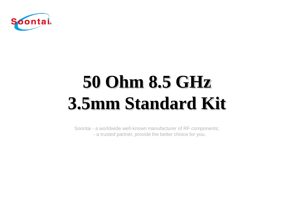

# **50 Ohm 8.5 GHz 3.5mm Standard Kit**

Soontai - a worldwide well-known manufacturer of RF components; - a trusted partner, provide the better choice for you.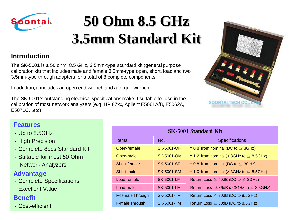

## **50 Ohm 8.5 GHz 3.5mm Standard Kit**

#### **Introduction**

The SK-5001 is a 50 ohm, 8.5 GHz, 3.5mm-type standard kit (general purpose calibration kit) that includes male and female 3.5mm-type open, short, load and two 3.5mm-type through adapters for a total of 8 complete components.

In addition, it includes an open end wrench and a torque wrench.

The SK-5001's outstanding electrical specifications make it suitable for use in the calibration of most network analyzers (e.g. HP 87xx, Agilent E5061A/B, E5062A, E5071C...etc).



#### **Features**

- Up to 8.5GHz
- High Precision
- Complete 8pcs Standard Kit
- Suitable for most 50 Ohm Network Analyzers

#### **Advantage**

- Complete Specifications
- Excellent Value

#### **Benefit**

- Cost-efficient

| <b>SK-5001 Standard Kit</b> |                   |                                                   |
|-----------------------------|-------------------|---------------------------------------------------|
| <b>Items</b>                | No.               | <b>Specifications</b>                             |
| Open-female                 | SK-5001-OF        | $\pm$ 0.8° from nominal (DC to $\leq$ 3GHz)       |
| Open-male                   | SK-5001-OM        | $\pm$ 1.2° from nominal (> 3GHz to $\leq$ 8.5GHz) |
| Short-female                | SK-5001-SF        | $\pm$ 0.8° from nominal (DC to $\leq$ 3GHz)       |
| Short-male                  | SK-5001-SM        | $\pm$ 1.0° from nominal (> 3GHz to $\leq$ 8.5GHz) |
| Load-female                 | <b>SK-5001-LF</b> | Return Loss $\geq$ 40dB (DC to $\leq$ 3GHz)       |
| Load-male                   | SK-5001-LM        | Return Loss $\geq$ 36dB (> 3GHz to $\leq$ 8.5GHz) |
| F-female Through            | <b>SK-5001-TF</b> | Return Loss $\geq$ 30dB (DC to 8.5GHz)            |
| F-male Through              | <b>SK-5001-TM</b> | Return Loss $\geq$ 30dB (DC to 8.5GHz)            |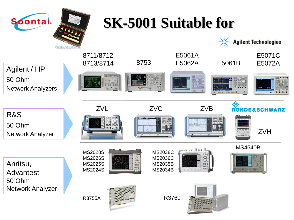

R&S

## **SK-5001 Suitable for**

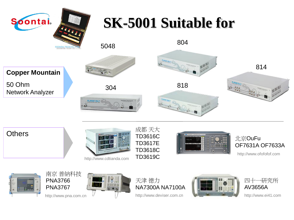![](_page_3_Picture_0.jpeg)